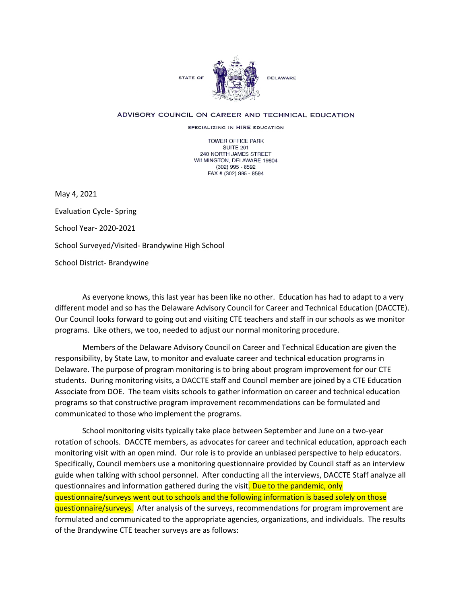

## ADVISORY COUNCIL ON CAREER AND TECHNICAL EDUCATION

SPECIALIZING IN HIRE EDUCATION

TOWER OFFICE PARK SUITE 201 240 NORTH JAMES STREET WILMINGTON, DELAWARE 19804 (302) 995 - 8592 FAX # (302) 995 - 8594

May 4, 2021

Evaluation Cycle- Spring School Year- 2020-2021 School Surveyed/Visited- Brandywine High School School District- Brandywine

As everyone knows, this last year has been like no other. Education has had to adapt to a very different model and so has the Delaware Advisory Council for Career and Technical Education (DACCTE). Our Council looks forward to going out and visiting CTE teachers and staff in our schools as we monitor programs. Like others, we too, needed to adjust our normal monitoring procedure.

Members of the Delaware Advisory Council on Career and Technical Education are given the responsibility, by State Law, to monitor and evaluate career and technical education programs in Delaware. The purpose of program monitoring is to bring about program improvement for our CTE students. During monitoring visits, a DACCTE staff and Council member are joined by a CTE Education Associate from DOE. The team visits schools to gather information on career and technical education programs so that constructive program improvement recommendations can be formulated and communicated to those who implement the programs.

School monitoring visits typically take place between September and June on a two-year rotation of schools. DACCTE members, as advocates for career and technical education, approach each monitoring visit with an open mind. Our role is to provide an unbiased perspective to help educators. Specifically, Council members use a monitoring questionnaire provided by Council staff as an interview guide when talking with school personnel. After conducting all the interviews, DACCTE Staff analyze all questionnaires and information gathered during the visit. Due to the pandemic, only questionnaire/surveys went out to schools and the following information is based solely on those questionnaire/surveys. After analysis of the surveys, recommendations for program improvement are formulated and communicated to the appropriate agencies, organizations, and individuals. The results of the Brandywine CTE teacher surveys are as follows: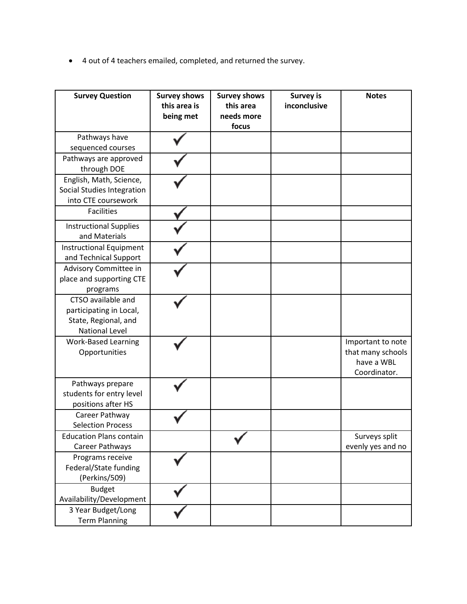• 4 out of 4 teachers emailed, completed, and returned the survey.

| <b>Survey Question</b>                                                                         | <b>Survey shows</b><br>this area is<br>being met | <b>Survey shows</b><br>this area<br>needs more<br>focus | <b>Survey is</b><br>inconclusive | <b>Notes</b>                                                         |
|------------------------------------------------------------------------------------------------|--------------------------------------------------|---------------------------------------------------------|----------------------------------|----------------------------------------------------------------------|
| Pathways have<br>sequenced courses                                                             |                                                  |                                                         |                                  |                                                                      |
| Pathways are approved<br>through DOE                                                           |                                                  |                                                         |                                  |                                                                      |
| English, Math, Science,<br>Social Studies Integration<br>into CTE coursework                   |                                                  |                                                         |                                  |                                                                      |
| <b>Facilities</b>                                                                              |                                                  |                                                         |                                  |                                                                      |
| <b>Instructional Supplies</b><br>and Materials                                                 |                                                  |                                                         |                                  |                                                                      |
| <b>Instructional Equipment</b><br>and Technical Support                                        |                                                  |                                                         |                                  |                                                                      |
| Advisory Committee in<br>place and supporting CTE<br>programs                                  |                                                  |                                                         |                                  |                                                                      |
| CTSO available and<br>participating in Local,<br>State, Regional, and<br><b>National Level</b> |                                                  |                                                         |                                  |                                                                      |
| <b>Work-Based Learning</b><br>Opportunities                                                    |                                                  |                                                         |                                  | Important to note<br>that many schools<br>have a WBL<br>Coordinator. |
| Pathways prepare<br>students for entry level<br>positions after HS                             |                                                  |                                                         |                                  |                                                                      |
| Career Pathway<br><b>Selection Process</b>                                                     |                                                  |                                                         |                                  |                                                                      |
| <b>Education Plans contain</b><br>Career Pathways                                              |                                                  |                                                         |                                  | Surveys split<br>evenly yes and no                                   |
| Programs receive<br>Federal/State funding<br>(Perkins/509)                                     |                                                  |                                                         |                                  |                                                                      |
| <b>Budget</b><br>Availability/Development                                                      |                                                  |                                                         |                                  |                                                                      |
| 3 Year Budget/Long<br><b>Term Planning</b>                                                     |                                                  |                                                         |                                  |                                                                      |